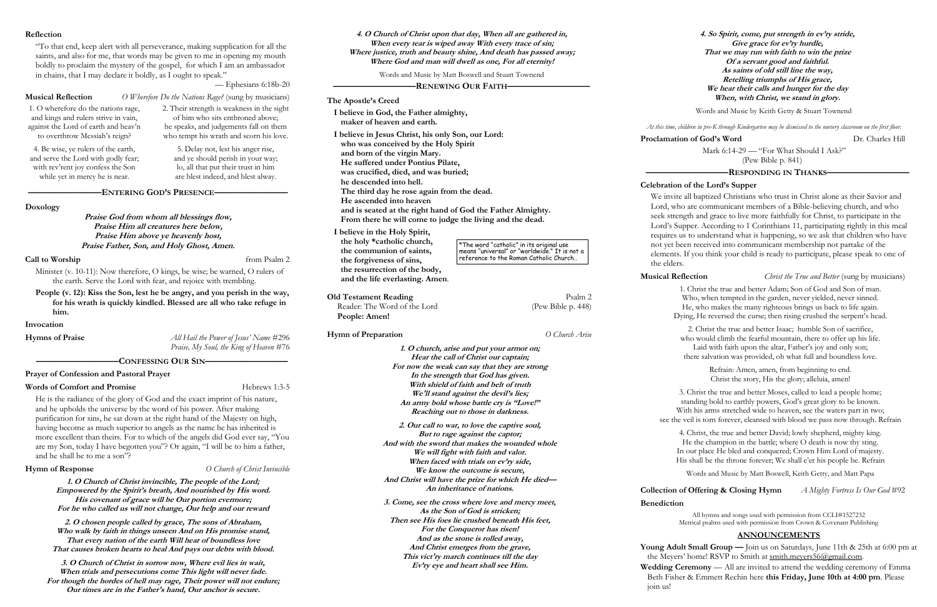# **Reflection**

"To that end, keep alert with all perseverance, making supplication for all the saints, and also for me, that words may be given to me in opening my mouth boldly to proclaim the mystery of the gospel, for which I am an ambassador in chains, that I may declare it boldly, as I ought to speak."

# — Ephesians 6:18b-20

| Musical Reflection           |  |
|------------------------------|--|
| 1. O wherefore do the nation |  |

**————————ENTERING GOD'S PRESENCE————————**

**Doxology**

**Praise God from whom all blessings flow, Praise Him all creatures here below, Praise Him above ye heavenly host, Praise Father, Son, and Holy Ghost, Amen.**

**Call to Worship** from Psalm 2

Minister (v. 10-11): Now therefore, O kings, be wise; be warned, O rulers of the earth. Serve the Lord with fear, and rejoice with trembling.

**People (v. 12): Kiss the Son, lest he be angry, and you perish in the way, for his wrath is quickly kindled. Blessed are all who take refuge in him.** 

**Invocation**

**Hymns of Praise** *All Hail the Power of Jesus' Name* #296 *Praise, My Soul, the King of Heaven* #76

**—————————CONFESSING OUR SIN—————————**

# **Prayer of Confession and Pastoral Prayer**

### **Words of Comfort and Promise** Hebrews 1:3-5

Mark 6:14-29 — "For What Should I Ask?" (Pew Bible p. 841)

He is the radiance of the glory of God and the exact imprint of his nature, and he upholds the universe by the word of his power. After making purification for sins, he sat down at the right hand of the Majesty on high, having become as much superior to angels as the name he has inherited is more excellent than theirs. For to which of the angels did God ever say, "You are my Son, today I have begotten you"? Or again, "I will be to him a father, and he shall be to me a son"?

# **Hymn of Response** *O Church of Christ Invincible*

### **—————————RENEWING OUR FAITH—————————**

# **The Apostle's Creed**

**I believe in God, the Father almighty, maker of heaven and earth.**

**I believe in Jesus Christ, his only Son, our Lord: who was conceived by the Holy Spirit and born of the virgin Mary. He suffered under Pontius Pilate, was crucified, died, and was buried; he descended into hell. The third day he rose again from the dead. He ascended into heaven and is seated at the right hand of God the Father Almighty. From there he will come to judge the living and the dead.**

ons rage, and kings and rulers strive in vain, against the Lord of earth and heav'n to overthrow Messiah's reign?

**Musical Reflection** *O Wherefore Do the Nations Rage?* (sung by musicians) 2. Their strength is weakness in the sight

> **I believe in the Holy Spirit, the holy \*catholic church, the communion of saints, the forgiveness of sins, the resurrection of the body,**

> > 1. Christ the true and better Adam; Son of God and Son of man. Who, when tempted in the garden, never yielded, never sinned. He, who makes the many righteous brings us back to life again. ng, He reversed the curse; then rising crushed the serpent's head.

**and the life everlasting. Amen**.

| <b>Old Testament Reading</b> | Psalm 2            |
|------------------------------|--------------------|
| Reader: The Word of the Lord | (Pew Bible p. 448) |
| People: Amen!                |                    |

# **Hymn of Preparation** *O Church Arise*

*At this time, children in pre-K through Kindergarten may be dismissed to the nursery classroom on the first floor.*

**Proclamation of God's Word** Dr. Charles Hill

# **—————————RESPONDING IN THANKS—————————**

# **Celebration of the Lord's Supper**

**Musical Reflection** *Christ the True and Better* (sung by musicians)

We invite all baptized Christians who trust in Christ alone as their Savior and Lord, who are communicant members of a Bible-believing church, and who seek strength and grace to live more faithfully for Christ, to participate in the Lord's Supper. According to 1 Corinthians 11, participating rightly in this meal requires us to understand what is happening, so we ask that children who have not yet been received into communicant membership not partake of the elements. If you think your child is ready to participate, please speak to one of the elders.

| W<br>$\overline{E}$<br>Dyit             |
|-----------------------------------------|
| $\mathbf{w}$                            |
| ť                                       |
|                                         |
| 3.<br>st<br>W <sub>i</sub><br>see the v |
| 4.<br>F.                                |
| $\ln$<br>His                            |
|                                         |

**Collection of Offering & Closing Hymn** *A Mighty Fortress Is Our God* #92

# **Benediction**

All hymns and songs used with permission from CCLI#1527232 Metrical psalms used with permission from Crown & Covenant Publishing

# **ANNOUNCEMENTS**

**Young Adult Small Group —** Join us on Saturdays, June 11th & 25th at 6:00 pm at the Meyers' home! RSVP to Smith at smith.meyers56@gmail.com.

**Wedding Ceremony** — All are invited to attend the wedding ceremony of Emma Beth Fisher & Emmett Rechin here **this Friday, June 10th at 4:00 pm**. Please

join us!

of him who sits enthroned above;

4. Be wise, ye rulers of the earth, and serve the Lord with godly fear; with rev'rent joy confess the Son while yet in mercy he is near.

he speaks, and judgements fall on them who tempt his wrath and scorn his love. 5. Delay not, lest his anger rise, and ye should perish in your way; lo, all that put their trust in him are blest indeed, and blest alway.

> \*The word "catholic" in its original use means "universal" or "worldwide." It is not a reference to the Roman Catholic Church..

> > 2. Christ the true and better Isaac; humble Son of sacrifice, ho would climb the fearful mountain, there to offer up his life. Laid with faith upon the altar, Father's joy and only son;

here salvation was provided, oh what full and boundless love.

Refrain: Amen, amen, from beginning to end. Christ the story, His the glory; alleluia, amen!

Christ the true and better Moses, called to lead a people home; anding bold to earthly powers, God's great glory to be known. th his arms stretched wide to heaven, see the waters part in two; reil is torn forever, cleansed with blood we pass now through. Refrain

Christ, the true and better David; lowly shepherd, mighty king. He the champion in the battle; where O death is now thy sting. our place He bled and conquered; Crown Him Lord of majesty. shall be the throne forever; We shall e'er his people be. Refrain

Words and Music by Matt Boswell, Keith Getty, and Matt Papa

**1. O Church of Christ invincible, The people of the Lord; Empowered by the Spirit's breath, And nourished by His word. His covenant of grace will be Our portion evermore; For he who called us will not change, Our help and our reward**

**2. O chosen people called by grace, The sons of Abraham, Who walk by faith in things unseen And on His promise stand, That every nation of the earth Will hear of boundless love That causes broken hearts to heal And pays our debts with blood.**

**3. O Church of Christ in sorrow now, Where evil lies in wait, When trials and persecutions come This light will never fade. For though the hordes of hell may rage, Their power will not endure; Our times are in the Father's hand, Our anchor is secure.**

**4. O Church of Christ upon that day, When all are gathered in, When every tear is wiped away With every trace of sin; Where justice, truth and beauty shine, And death has passed away; Where God and man will dwell as one, For all eternity!**

Words and Music by Matt Boswell and Stuart Townend

**1. O church, arise and put your armor on; Hear the call of Christ our captain; For now the weak can say that they are strong In the strength that God has given. With shield of faith and belt of truth We'll stand against the devil's lies; An army bold whose battle cry is "Love!" Reaching out to those in darkness.**

**2. Our call to war, to love the captive soul, But to rage against the captor; And with the sword that makes the wounded whole We will fight with faith and valor. When faced with trials on ev'ry side, We know the outcome is secure, And Christ will have the prize for which He died— An inheritance of nations.**

**3. Come, see the cross where love and mercy meet, As the Son of God is stricken; Then see His foes lie crushed beneath His feet, For the Conqueror has risen! And as the stone is rolled away, And Christ emerges from the grave, This vict'ry march continues till the day Ev'ry eye and heart shall see Him.**

**4. So Spirit, come, put strength in ev'ry stride, Give grace for ev'ry hurdle, That we may run with faith to win the prize Of a servant good and faithful. As saints of old still line the way, Retelling triumphs of His grace, We hear their calls and hunger for the day When, with Christ, we stand in glory.**

Words and Music by Keith Getty & Stuart Townend